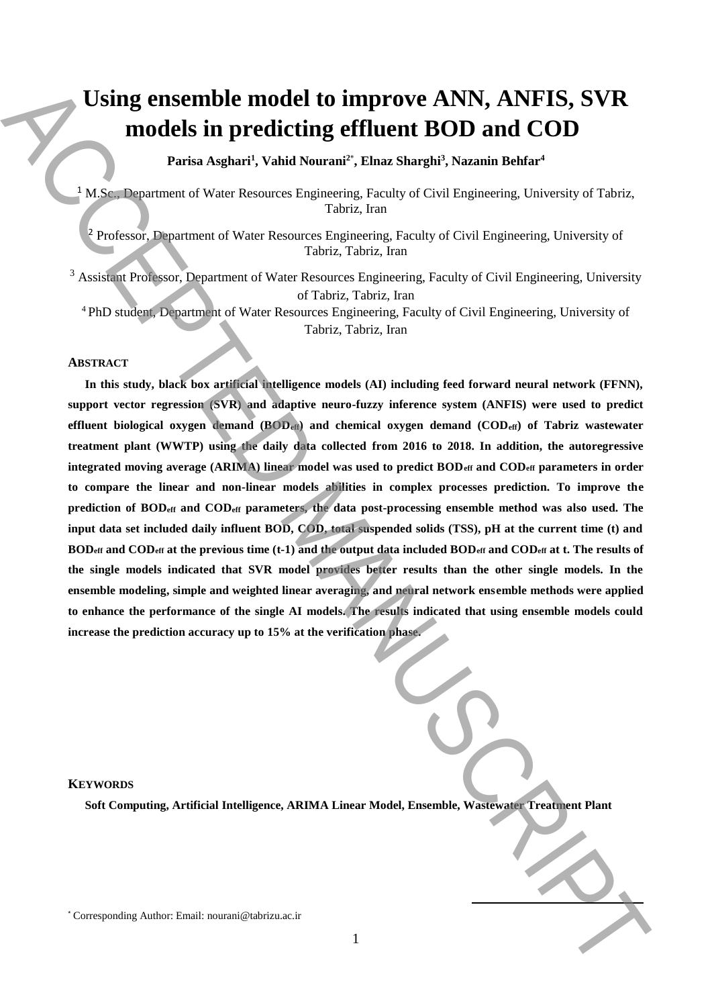# **Using ensemble model to improve ANN, ANFIS, SVR models in predicting effluent BOD and COD**

**Parisa Asghari<sup>1</sup> , Vahid Nourani<sup>2</sup>**\* **, Elnaz Sharghi<sup>3</sup> , Nazanin Behfar<sup>4</sup>**

<sup>1</sup> M.Sc., Department of Water Resources Engineering, Faculty of Civil Engineering, University of Tabriz, Tabriz, Iran

<sup>2</sup> Professor, Department of Water Resources Engineering, Faculty of Civil Engineering, University of Tabriz, Tabriz, Iran

<sup>3</sup> Assistant Professor, Department of Water Resources Engineering, Faculty of Civil Engineering, University of Tabriz, Tabriz, Iran

<sup>4</sup>PhD student, Department of Water Resources Engineering, Faculty of Civil Engineering, University of Tabriz, Tabriz, Iran

# **ABSTRACT**

**In this study, black box artificial intelligence models (AI) including feed forward neural network (FFNN), support vector regression (SVR) and adaptive neuro-fuzzy inference system (ANFIS) were used to predict effluent biological oxygen demand (BODeff) and chemical oxygen demand (CODeff) of Tabriz wastewater treatment plant (WWTP) using the daily data collected from 2016 to 2018. In addition, the autoregressive integrated moving average (ARIMA) linear model was used to predict BODeff and CODeff parameters in order to compare the linear and non-linear models abilities in complex processes prediction. To improve the prediction of BODeff and CODeff parameters, the data post-processing ensemble method was also used. The input data set included daily influent BOD, COD, total suspended solids (TSS), pH at the current time (t) and BODeff and CODeff at the previous time (t-1) and the output data included BODeff and CODeff at t. The results of the single models indicated that SVR model provides better results than the other single models. In the ensemble modeling, simple and weighted linear averaging, and neural network ensemble methods were applied to enhance the performance of the single AI models. The results indicated that using ensemble models could increase the prediction accuracy up to 15% at the verification phase.** Using ensemble model to improve ANN, ANFIS, SVR<br>
models in predicting effluent BOD and COD<br>
into the material value of the limit is much simple the material behavior and<br>
subsequent the material behavior interest of the l

## **KEYWORDS**

**Soft Computing, Artificial Intelligence, ARIMA Linear Model, Ensemble, Wastewater Treatment Plant**

**.**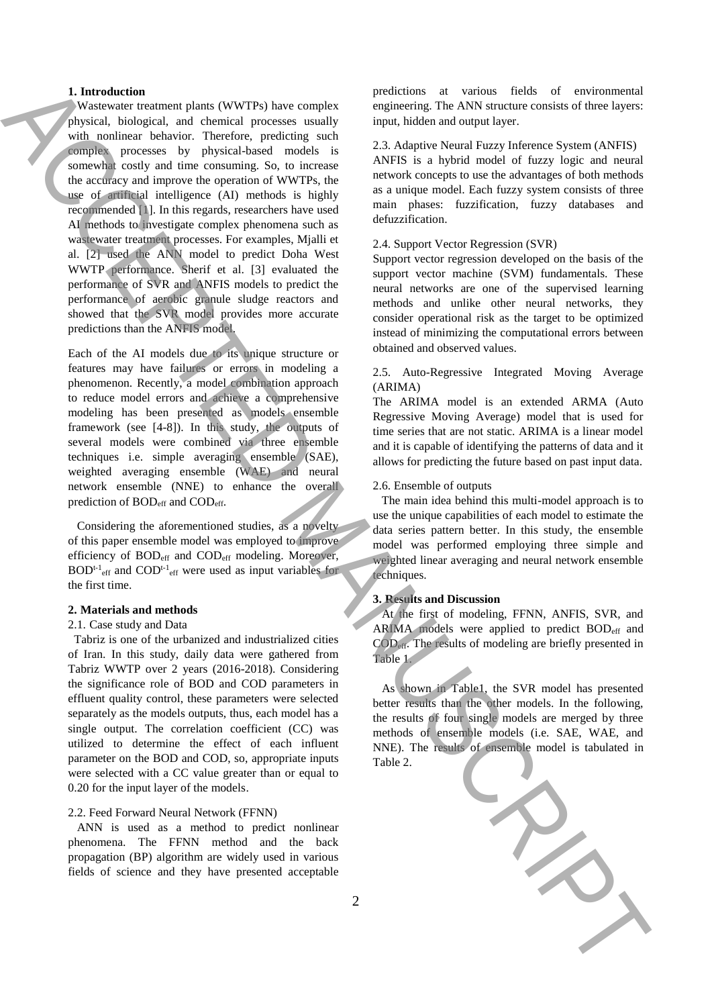## **1. Introduction**

 Wastewater treatment plants (WWTPs) have complex physical, biological, and chemical processes usually with nonlinear behavior. Therefore, predicting such complex processes by physical-based models is somewhat costly and time consuming. So, to increase the accuracy and improve the operation of WWTPs, the use of artificial intelligence (AI) methods is highly recommended [1]. In this regards, researchers have used AI methods to investigate complex phenomena such as wastewater treatment processes. For examples, Mjalli et al. [2] used the ANN model to predict Doha West WWTP performance. Sherif et al. [3] evaluated the performance of SVR and ANFIS models to predict the performance of aerobic granule sludge reactors and showed that the SVR model provides more accurate predictions than the ANFIS model. **1.** Interded times a measure of the state of the state of the state of the state of the state of the state of the state of the state of the state of the state of the state of the state of the state of the state of the st

Each of the AI models due to its unique structure or features may have failures or errors in modeling a phenomenon. Recently, a model combination approach to reduce model errors and achieve a comprehensive modeling has been presented as models ensemble framework (see [4-8]). In this study, the outputs of several models were combined via three ensemble techniques i.e. simple averaging ensemble (SAE), weighted averaging ensemble (WAE) and neural network ensemble (NNE) to enhance the overall prediction of BOD<sub>eff</sub> and COD<sub>eff</sub>.

 Considering the aforementioned studies, as a novelty of this paper ensemble model was employed to improve efficiency of BOD<sub>eff</sub> and COD<sub>eff</sub> modeling. Moreover,  $BOD^{t-1}$ <sub>eff</sub> and  $COD^{t-1}$ <sub>eff</sub> were used as input variables for the first time.

## **2. Materials and methods**

#### 2.1. Case study and Data

 Tabriz is one of the urbanized and industrialized cities of Iran. In this study, daily data were gathered from Tabriz WWTP over 2 years (2016-2018). Considering the significance role of BOD and COD parameters in effluent quality control, these parameters were selected separately as the models outputs, thus, each model has a single output. The correlation coefficient (CC) was utilized to determine the effect of each influent parameter on the BOD and COD, so, appropriate inputs were selected with a CC value greater than or equal to 0.20 for the input layer of the models.

#### 2.2. Feed Forward Neural Network (FFNN)

 ANN is used as a method to predict nonlinear phenomena. The FFNN method and the back propagation (BP) algorithm are widely used in various fields of science and they have presented acceptable predictions at various fields of environmental engineering. The ANN structure consists of three layers: input, hidden and output layer.

2.3. Adaptive Neural Fuzzy Inference System (ANFIS) ANFIS is a hybrid model of fuzzy logic and neural network concepts to use the advantages of both methods as a unique model. Each fuzzy system consists of three main phases: fuzzification, fuzzy databases and defuzzification.

## 2.4. Support Vector Regression (SVR)

Support vector regression developed on the basis of the support vector machine (SVM) fundamentals. These neural networks are one of the supervised learning methods and unlike other neural networks, they consider operational risk as the target to be optimized instead of minimizing the computational errors between obtained and observed values.

# 2.5. Auto-Regressive Integrated Moving Average (ARIMA)

The ARIMA model is an extended ARMA (Auto Regressive Moving Average) model that is used for time series that are not static. ARIMA is a linear model and it is capable of identifying the patterns of data and it allows for predicting the future based on past input data.

#### 2.6. Ensemble of outputs

 The main idea behind this multi-model approach is to use the unique capabilities of each model to estimate the data series pattern better. In this study, the ensemble model was performed employing three simple and weighted linear averaging and neural network ensemble techniques.

#### **3. Results and Discussion**

 At the first of modeling, FFNN, ANFIS, SVR, and ARIMA models were applied to predict BOD<sub>eff</sub> and CODeff. The results of modeling are briefly presented in Table 1.

 As shown in Table1, the SVR model has presented better results than the other models. In the following, the results of four single models are merged by three methods of ensemble models (i.e. SAE, WAE, and NNE). The results of ensemble model is tabulated in